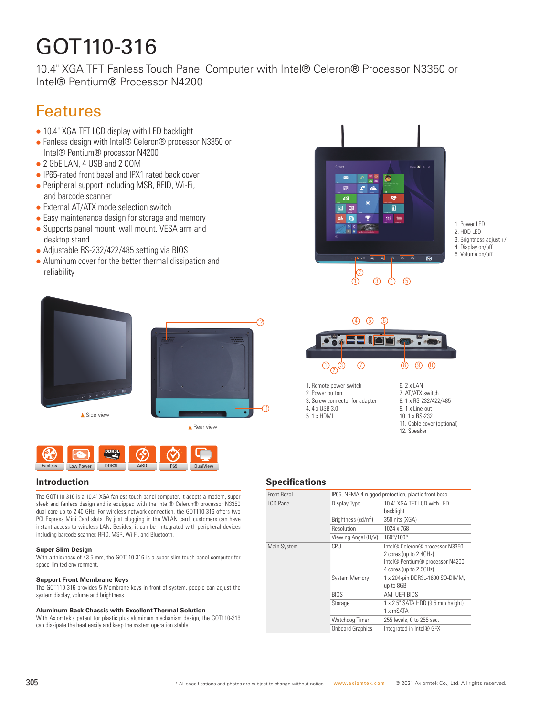# GOT110-316

10.4" XGA TFT Fanless Touch Panel Computer with Intel® Celeron® Processor N3350 or Intel® Pentium® Processor N4200

### Features

- 10.4" XGA TFT LCD display with LED backlight
- Fanless design with Intel® Celeron® processor N3350 or Intel® Pentium® processor N4200
- 2 GbE LAN, 4 USB and 2 COM
- IP65-rated front bezel and IPX1 rated back cover
- $\bullet$  Peripheral support including MSR, RFID, Wi-Fi, and barcode scanner
- External AT/ATX mode selection switch
- Easy maintenance design for storage and memory • Supports panel mount, wall mount, VESA arm and
- desktop stand
- Adjustable RS-232/422/485 setting via BIOS
- Aluminum cover for the better thermal dissipation and reliability





The GOT110-316 is a 10.4" XGA fanless touch panel computer. It adopts a modern, super sleek and fanless design and is equipped with the Intel® Celeron® processor N3350 dual core up to 2.40 GHz. For wireless network connection, the GOT110-316 offers two PCI Express Mini Card slots. By just plugging in the WLAN card, customers can have instant access to wireless LAN. Besides, it can be integrated with peripheral devices including barcode scanner, RFID, MSR, Wi-Fi, and Bluetooth.

#### **Super Slim Design**

With a thickness of 43.5 mm, the GOT110-316 is a super slim touch panel computer for space-limited environment.

#### **Support Front Membrane Keys**

The GOT110-316 provides 5 Membrane keys in front of system, people can adjust the system display, volume and brightness.

#### **Aluminum Back Chassis with Excellent Thermal Solution**

With Axiomtek's patent for plastic plus aluminum mechanism design, the GOT110-316 can dissipate the heat easily and keep the system operation stable.



1. Power LED 2. HDD LED 3. Brightness adjust +/- 4. Display on/off 5. Volume on/off



1. Remote power switch

- 2. Power button 3. Screw connector for adapter
- 4. 4 x USB 3.0
- 5. 1 x HDMI
- 6. 2 x LAN 7. AT/ATX switch
- 8. 1 x RS-232/422/485
- 9. 1 x Line-out 10. 1 x RS-232
- 11. Cable cover (optional)
- 12. Speaker

#### **Introduction Specifications**

| Front Bezel | IP65, NEMA 4 rugged protection, plastic front bezel |                                                                                                                        |
|-------------|-----------------------------------------------------|------------------------------------------------------------------------------------------------------------------------|
| I CD Panel  | Display Type                                        | 10.4" XGA TFT I CD with I FD<br>backlight                                                                              |
|             | Brightness (cd/m <sup>2</sup> )                     | 350 nits (XGA)                                                                                                         |
|             | Resolution                                          | 1024 x 768                                                                                                             |
|             | Viewing Angel (H/V)                                 | 160°/160°                                                                                                              |
| Main System | CPU                                                 | Intel® Celeron® processor N3350<br>2 cores (up to 2.4GHz)<br>Intel® Pentium® processor N4200<br>4 cores (up to 2.5GHz) |
|             | <b>System Memory</b>                                | 1 x 204-pin DDR3L-1600 SO-DIMM,<br>up to 8GB                                                                           |
|             | <b>BIOS</b>                                         | AMI UEFI BIOS                                                                                                          |
|             | Storage                                             | 1 x 2.5" SATA HDD (9.5 mm height)<br>1 x mSATA                                                                         |
|             | Watchdog Timer                                      | 255 levels, 0 to 255 sec.                                                                                              |
|             | <b>Onboard Graphics</b>                             | Integrated in Intel® GFX                                                                                               |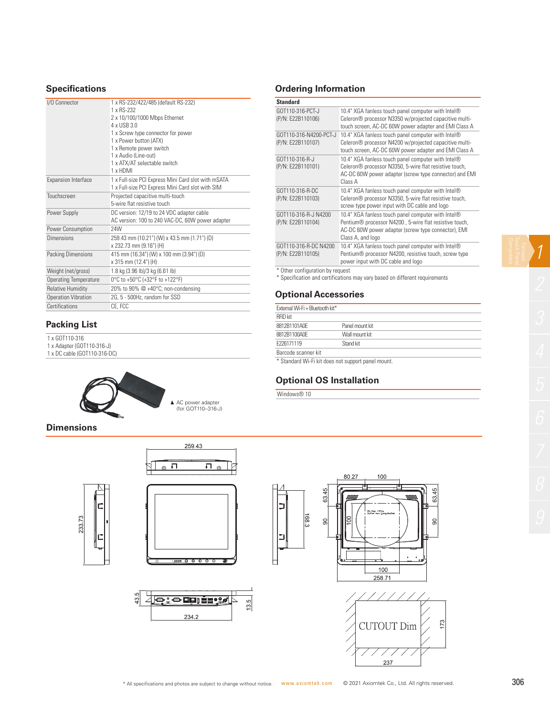#### **Specifications**

| I/O Connector                | 1 x RS-232/422/485 (default RS-232)<br>1 x RS-232<br>2 x 10/100/1000 Mbps Ethernet<br>4 x USB 3 0<br>1 x Screw type connector for power<br>1 x Power button (ATX)<br>1 x Remote power switch<br>1 x Audio (Line-out)<br>1 x ATX/AT selectable switch<br>1 x HDMI |
|------------------------------|------------------------------------------------------------------------------------------------------------------------------------------------------------------------------------------------------------------------------------------------------------------|
| <b>Expansion Interface</b>   | 1 x Full-size PCI Express Mini Card slot with mSATA<br>1 x Full-size PCI Express Mini Card slot with SIM                                                                                                                                                         |
| Touchscreen                  | Projected capacitive multi-touch<br>5-wire flat resistive touch                                                                                                                                                                                                  |
| Power Supply                 | DC version: 12/19 to 24 VDC adapter cable<br>AC version: 100 to 240 VAC-DC, 60W power adapter                                                                                                                                                                    |
| Power Consumption            | <b>24W</b>                                                                                                                                                                                                                                                       |
| Dimensions                   | 259.43 mm (10.21") (W) x 43.5 mm (1.71") (D)<br>x 232.73 mm (9.16") (H)                                                                                                                                                                                          |
| Packing Dimensions           | 415 mm (16.34") (W) x 100 mm (3.94") (D)<br>x 315 mm (12.4") (H)                                                                                                                                                                                                 |
| Weight (net/gross)           | 1.8 kg (3.96 lb)/3 kg (6.61 lb)                                                                                                                                                                                                                                  |
| <b>Operating Temperature</b> | 0°C to +50°C (+32°F to +122°F)                                                                                                                                                                                                                                   |
| <b>Relative Humidity</b>     | 20% to 90% @ +40°C; non-condensing                                                                                                                                                                                                                               |
| <b>Operation Vibration</b>   | 2G, 5 - 500Hz, random for SSD                                                                                                                                                                                                                                    |
| Certifications               | CE. FCC                                                                                                                                                                                                                                                          |
|                              |                                                                                                                                                                                                                                                                  |

#### **Packing List**

- 1 x GOT110-316
- 1 x Adapter (GOT110-316-J)
- 1 x DC cable (GOT110-316-DC)

233.73

Е



### **Ordering Information**

| <b>Standard</b>                             |                                                                                                                                                                                          |
|---------------------------------------------|------------------------------------------------------------------------------------------------------------------------------------------------------------------------------------------|
| GOT110-316-PCT-J<br>(P/N: E22B110106)       | 10.4" XGA fanless touch panel computer with Intel®<br>Celeron® processor N3350 w/projected capacitive multi-<br>touch screen, AC-DC 60W power adapter and EMI Class A                    |
| GOT110-316-N4200-PCT-J<br>(P/N: E22B110107) | 10.4" XGA fanless touch panel computer with Intel®<br>Celeron® processor N4200 w/projected capacitive multi-<br>touch screen, AC-DC 60W power adapter and EMI Class A                    |
| GOT110-316-R-J<br>(P/N: E22B110101)         | 10.4" XGA fanless touch panel computer with Intel®<br>Celeron® processor N3350, 5-wire flat resistive touch,<br>AC-DC 60W power adapter (screw type connector) and EMI<br>Class A        |
| GOT110-316-R-DC<br>(P/N: E22B110103)        | 10.4" XGA fanless touch panel computer with Intel®<br>Celeron <sup>®</sup> processor N3350, 5-wire flat resistive touch,<br>screw type power input with DC cable and logo                |
| GOT110-316-R-J N4200<br>(P/N: E22B110104)   | 10.4" XGA fanless touch panel computer with Intel®<br>Pentium® processor N4200, 5-wire flat resistive touch,<br>AC-DC 60W power adapter (screw type connector), EMI<br>Class A, and logo |
| GOT110-316-R-DC N4200<br>(P/N: E22B110105)  | 10.4" XGA fanless touch panel computer with Intel®<br>Pentium <sup>®</sup> processor N4200, resistive touch, screw type<br>power input with DC cable and logo                            |
| * Other configuration by request            | * Constitution and occitications may yary board on different requirements                                                                                                                |

Specification and certifications may vary based on different requirements

#### **Optional Accessories**

| External Wi-Fi + Bluetooth kit*                    |                 |  |
|----------------------------------------------------|-----------------|--|
| <b>RFID kit</b>                                    |                 |  |
| 8812B1101A0F                                       | Panel mount kit |  |
| 8812B1100A0F                                       | Wall mount kit  |  |
| F226171119                                         | Stand kit       |  |
| Barcode scanner kit                                |                 |  |
| * Standard Wi-Fi kit does not support panel mount. |                 |  |

#### **Optional OS Installation**

Windows<sup>®</sup> 10